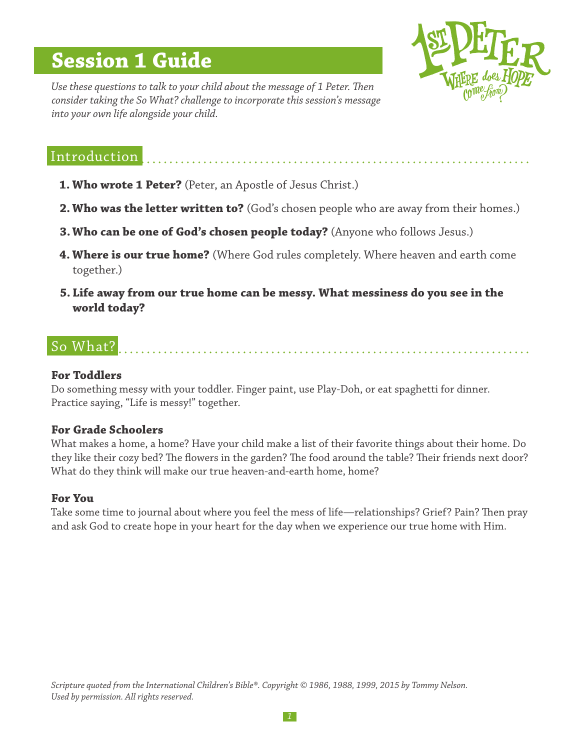# **Session 1 Guide**



*Use these questions to talk to your child about the message of 1 Peter. Then consider taking the So What? challenge to incorporate this session's message into your own life alongside your child.*

# Introduction

- **1. Who wrote 1 Peter?** (Peter, an Apostle of Jesus Christ.)
- **2. Who was the letter written to?** (God's chosen people who are away from their homes.)
- **3.Who can be one of God's chosen people today?** (Anyone who follows Jesus.)
- **4. Where is our true home?** (Where God rules completely. Where heaven and earth come together.)
- **5. Life away from our true home can be messy. What messiness do you see in the world today?**

# So What?

#### **For Toddlers**

Do something messy with your toddler. Finger paint, use Play-Doh, or eat spaghetti for dinner. Practice saying, "Life is messy!" together.

## **For Grade Schoolers**

What makes a home, a home? Have your child make a list of their favorite things about their home. Do they like their cozy bed? The flowers in the garden? The food around the table? Their friends next door? What do they think will make our true heaven-and-earth home, home?

## **For You**

Take some time to journal about where you feel the mess of life—relationships? Grief? Pain? Then pray and ask God to create hope in your heart for the day when we experience our true home with Him.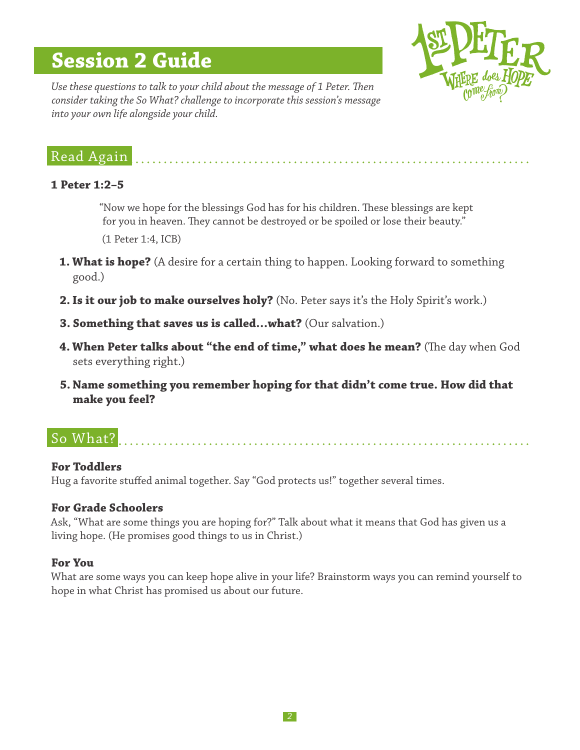# **Session 2 Guide**



*Use these questions to talk to your child about the message of 1 Peter. Then consider taking the So What? challenge to incorporate this session's message into your own life alongside your child.*

# Read Again

## **1 Peter 1:2–5**

"Now we hope for the blessings God has for his children. These blessings are kept for you in heaven. They cannot be destroyed or be spoiled or lose their beauty."

(1 Peter 1:4, ICB)

- **1. What is hope?** (A desire for a certain thing to happen. Looking forward to something good.)
- **2.Is it our job to make ourselves holy?** (No. Peter says it's the Holy Spirit's work.)
- **3. Something that saves us is called…what?** (Our salvation.)
- **4. When Peter talks about "the end of time," what does he mean?** (The day when God sets everything right.)
- **5. Name something you remember hoping for that didn't come true. How did that make you feel?**

# So What?

## **For Toddlers**

Hug a favorite stuffed animal together. Say "God protects us!" together several times.

## **For Grade Schoolers**

Ask, "What are some things you are hoping for?" Talk about what it means that God has given us a living hope. (He promises good things to us in Christ.)

## **For You**

What are some ways you can keep hope alive in your life? Brainstorm ways you can remind yourself to hope in what Christ has promised us about our future.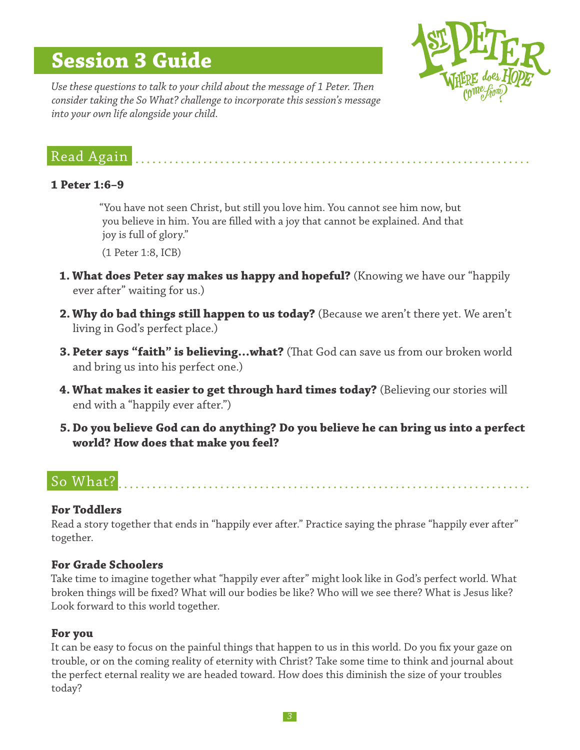# **Session 3 Guide**



*Use these questions to talk to your child about the message of 1 Peter. Then consider taking the So What? challenge to incorporate this session's message into your own life alongside your child.*

# Read Again

## **1 Peter 1:6–9**

"You have not seen Christ, but still you love him. You cannot see him now, but you believe in him. You are filled with a joy that cannot be explained. And that joy is full of glory."

(1 Peter 1:8, ICB)

- **1. What does Peter say makes us happy and hopeful?** (Knowing we have our "happily ever after" waiting for us.)
- **2. Why do bad things still happen to us today?** (Because we aren't there yet. We aren't living in God's perfect place.)
- **3. Peter says "faith" is believing…what?** (That God can save us from our broken world and bring us into his perfect one.)
- **4. What makes it easier to get through hard times today?** (Believing our stories will end with a "happily ever after.")
- **5. Do you believe God can do anything? Do you believe he can bring us into a perfect world? How does that make you feel?**

# So What?

## **For Toddlers**

Read a story together that ends in "happily ever after." Practice saying the phrase "happily ever after" together.

#### **For Grade Schoolers**

Take time to imagine together what "happily ever after" might look like in God's perfect world. What broken things will be fixed? What will our bodies be like? Who will we see there? What is Jesus like? Look forward to this world together.

#### **For you**

It can be easy to focus on the painful things that happen to us in this world. Do you fix your gaze on trouble, or on the coming reality of eternity with Christ? Take some time to think and journal about the perfect eternal reality we are headed toward. How does this diminish the size of your troubles today?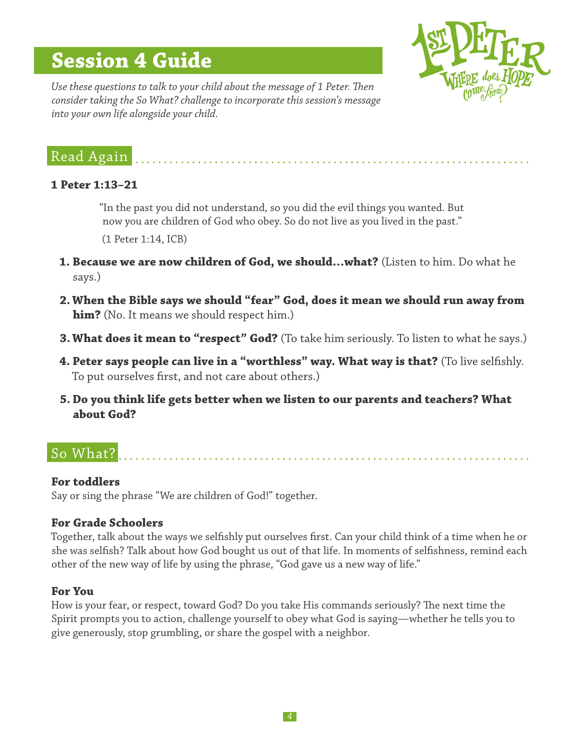# **Session 4 Guide**



*Use these questions to talk to your child about the message of 1 Peter. Then consider taking the So What? challenge to incorporate this session's message into your own life alongside your child.*

# Read Again

## **1 Peter 1:13–21**

"In the past you did not understand, so you did the evil things you wanted. But now you are children of God who obey. So do not live as you lived in the past."

(1 Peter 1:14, ICB)

- **1. Because we are now children of God, we should…what?** (Listen to him. Do what he says.)
- **2. When the Bible says we should "fear" God, does it mean we should run away from him?** (No. It means we should respect him.)
- **3.What does it mean to "respect" God?** (To take him seriously. To listen to what he says.)
- **4. Peter says people can live in a "worthless" way. What way is that?** (To live selfishly. To put ourselves first, and not care about others.)
- **5. Do you think life gets better when we listen to our parents and teachers? What about God?**

# So What?

## **For toddlers**

Say or sing the phrase "We are children of God!" together.

## **For Grade Schoolers**

Together, talk about the ways we selfishly put ourselves first. Can your child think of a time when he or she was selfish? Talk about how God bought us out of that life. In moments of selfishness, remind each other of the new way of life by using the phrase, "God gave us a new way of life."

## **For You**

How is your fear, or respect, toward God? Do you take His commands seriously? The next time the Spirit prompts you to action, challenge yourself to obey what God is saying—whether he tells you to give generously, stop grumbling, or share the gospel with a neighbor.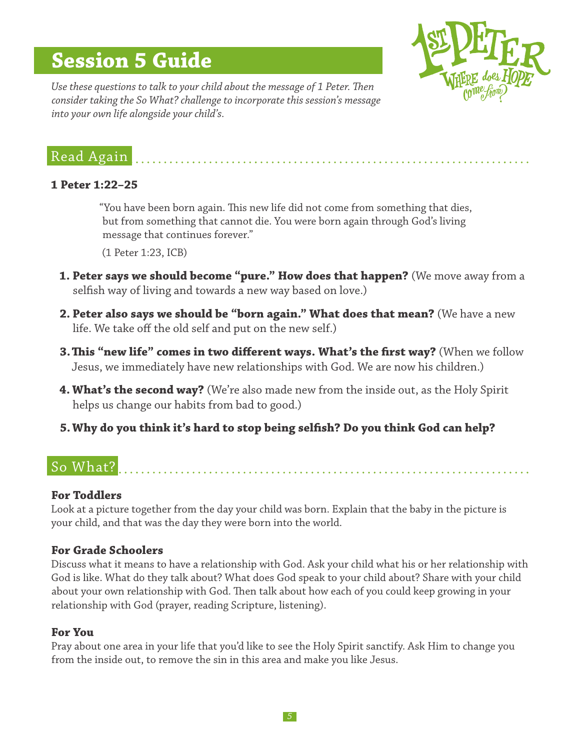# **Session 5 Guide**



*Use these questions to talk to your child about the message of 1 Peter. Then consider taking the So What? challenge to incorporate this session's message into your own life alongside your child's.*

# Read Again

## **1 Peter 1:22–25**

"You have been born again. This new life did not come from something that dies, but from something that cannot die. You were born again through God's living message that continues forever."

(1 Peter 1:23, ICB)

- **1. Peter says we should become "pure." How does that happen?** (We move away from a selfish way of living and towards a new way based on love.)
- **2. Peter also says we should be "born again." What does that mean?** (We have a new life. We take off the old self and put on the new self.)
- **3.This "new life" comes in two different ways. What's the first way?** (When we follow Jesus, we immediately have new relationships with God. We are now his children.)
- **4. What's the second way?** (We're also made new from the inside out, as the Holy Spirit helps us change our habits from bad to good.)
- **5.Why do you think it's hard to stop being selfish? Do you think God can help?**

# So What?

## **For Toddlers**

Look at a picture together from the day your child was born. Explain that the baby in the picture is your child, and that was the day they were born into the world.

## **For Grade Schoolers**

Discuss what it means to have a relationship with God. Ask your child what his or her relationship with God is like. What do they talk about? What does God speak to your child about? Share with your child about your own relationship with God. Then talk about how each of you could keep growing in your relationship with God (prayer, reading Scripture, listening).

## **For You**

Pray about one area in your life that you'd like to see the Holy Spirit sanctify. Ask Him to change you from the inside out, to remove the sin in this area and make you like Jesus.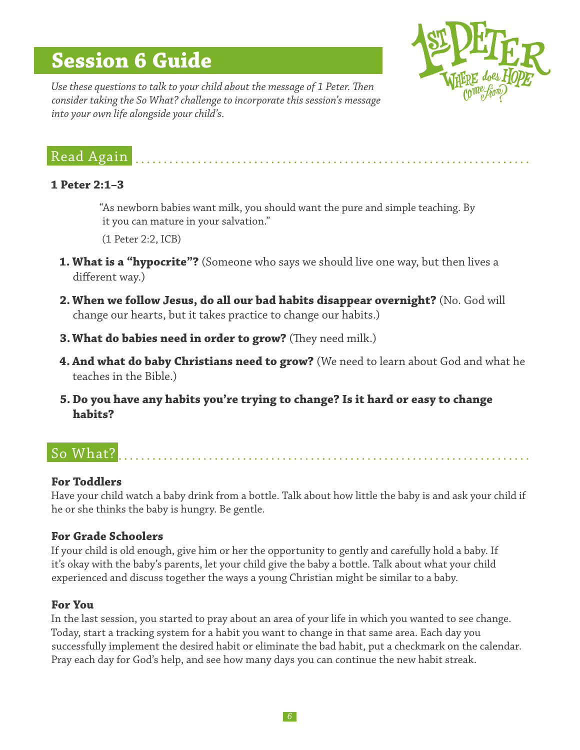# **Session 6 Guide**



*Use these questions to talk to your child about the message of 1 Peter. Then consider taking the So What? challenge to incorporate this session's message into your own life alongside your child's.*

# Read Again

## **1 Peter 2:1–3**

"As newborn babies want milk, you should want the pure and simple teaching. By it you can mature in your salvation."

(1 Peter 2:2, ICB)

- **1. What is a "hypocrite"?** (Someone who says we should live one way, but then lives a different way.)
- **2. When we follow Jesus, do all our bad habits disappear overnight?** (No. God will change our hearts, but it takes practice to change our habits.)
- **3.What do babies need in order to grow?** (They need milk.)
- **4. And what do baby Christians need to grow?** (We need to learn about God and what he teaches in the Bible.)
- **5. Do you have any habits you're trying to change? Is it hard or easy to change habits?**

# So What?

# **For Toddlers**

Have your child watch a baby drink from a bottle. Talk about how little the baby is and ask your child if he or she thinks the baby is hungry. Be gentle.

# **For Grade Schoolers**

If your child is old enough, give him or her the opportunity to gently and carefully hold a baby. If it's okay with the baby's parents, let your child give the baby a bottle. Talk about what your child experienced and discuss together the ways a young Christian might be similar to a baby.

## **For You**

In the last session, you started to pray about an area of your life in which you wanted to see change. Today, start a tracking system for a habit you want to change in that same area. Each day you successfully implement the desired habit or eliminate the bad habit, put a checkmark on the calendar. Pray each day for God's help, and see how many days you can continue the new habit streak.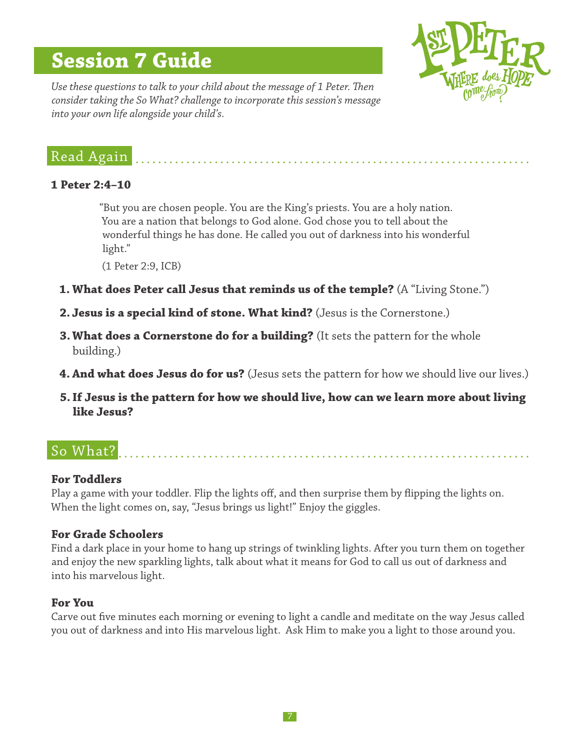# **Session 7 Guide**



*Use these questions to talk to your child about the message of 1 Peter. Then consider taking the So What? challenge to incorporate this session's message into your own life alongside your child's.*

# Read Again

## **1 Peter 2:4–10**

"But you are chosen people. You are the King's priests. You are a holy nation. You are a nation that belongs to God alone. God chose you to tell about the wonderful things he has done. He called you out of darkness into his wonderful light."

(1 Peter 2:9, ICB)

- **1. What does Peter call Jesus that reminds us of the temple?** (A "Living Stone.")
- **2. Jesus is a special kind of stone. What kind?** (Jesus is the Cornerstone.)
- **3. What does a Cornerstone do for a building?** (It sets the pattern for the whole building.)
- **4. And what does Jesus do for us?** (Jesus sets the pattern for how we should live our lives.)
- **5.If Jesus is the pattern for how we should live, how can we learn more about living like Jesus?**

# So What?

## **For Toddlers**

Play a game with your toddler. Flip the lights off, and then surprise them by flipping the lights on. When the light comes on, say, "Jesus brings us light!" Enjoy the giggles.

## **For Grade Schoolers**

Find a dark place in your home to hang up strings of twinkling lights. After you turn them on together and enjoy the new sparkling lights, talk about what it means for God to call us out of darkness and into his marvelous light.

## **For You**

Carve out five minutes each morning or evening to light a candle and meditate on the way Jesus called you out of darkness and into His marvelous light. Ask Him to make you a light to those around you.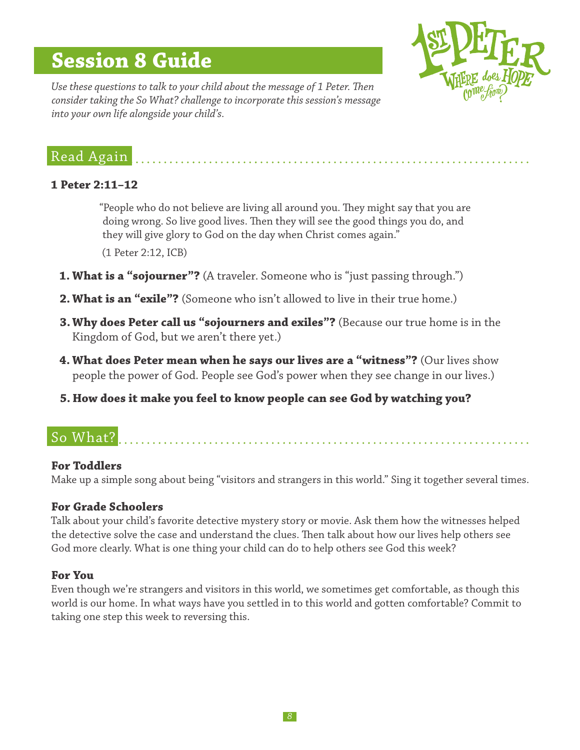# **Session 8 Guide**



*Use these questions to talk to your child about the message of 1 Peter. Then consider taking the So What? challenge to incorporate this session's message into your own life alongside your child's.*

# Read Again

## **1 Peter 2:11–12**

"People who do not believe are living all around you. They might say that you are doing wrong. So live good lives. Then they will see the good things you do, and they will give glory to God on the day when Christ comes again."

(1 Peter 2:12, ICB)

- **1. What is a "sojourner"?** (A traveler. Someone who is "just passing through.")
- **2. What is an "exile"?** (Someone who isn't allowed to live in their true home.)
- **3.Why does Peter call us "sojourners and exiles"?** (Because our true home is in the Kingdom of God, but we aren't there yet.)
- **4. What does Peter mean when he says our lives are a "witness"?** (Our lives show people the power of God. People see God's power when they see change in our lives.)
- **5. How does it make you feel to know people can see God by watching you?**

# So What?

## **For Toddlers**

Make up a simple song about being "visitors and strangers in this world." Sing it together several times.

## **For Grade Schoolers**

Talk about your child's favorite detective mystery story or movie. Ask them how the witnesses helped the detective solve the case and understand the clues. Then talk about how our lives help others see God more clearly. What is one thing your child can do to help others see God this week?

## **For You**

Even though we're strangers and visitors in this world, we sometimes get comfortable, as though this world is our home. In what ways have you settled in to this world and gotten comfortable? Commit to taking one step this week to reversing this.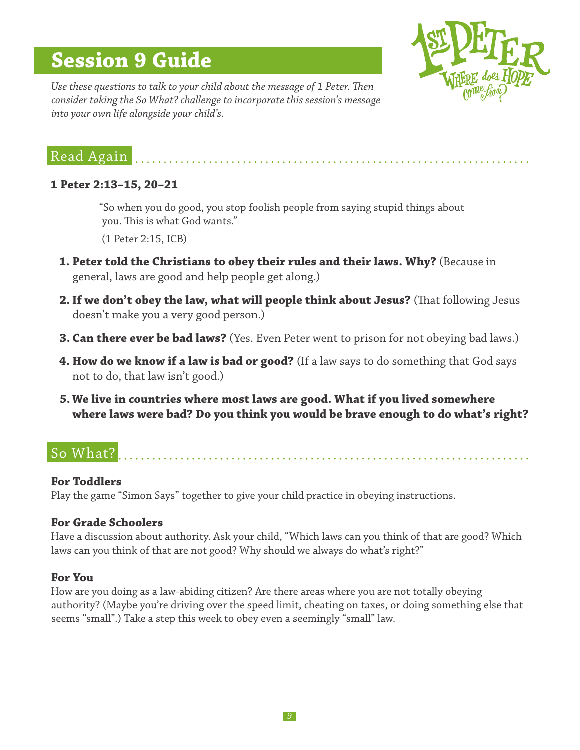# **Session 9 Guide**



*Use these questions to talk to your child about the message of 1 Peter. Then consider taking the So What? challenge to incorporate this session's message into your own life alongside your child's.*

# Read Again

## **1 Peter 2:13–15, 20–21**

"So when you do good, you stop foolish people from saying stupid things about you. This is what God wants."

(1 Peter 2:15, ICB)

- **1. Peter told the Christians to obey their rules and their laws. Why?** (Because in general, laws are good and help people get along.)
- **2.If we don't obey the law, what will people think about Jesus?** (That following Jesus doesn't make you a very good person.)
- **3. Can there ever be bad laws?** (Yes. Even Peter went to prison for not obeying bad laws.)
- **4. How do we know if a law is bad or good?** (If a law says to do something that God says not to do, that law isn't good.)
- **5.We live in countries where most laws are good. What if you lived somewhere where laws were bad? Do you think you would be brave enough to do what's right?**

# So What?

## **For Toddlers**

Play the game "Simon Says" together to give your child practice in obeying instructions.

# **For Grade Schoolers**

Have a discussion about authority. Ask your child, "Which laws can you think of that are good? Which laws can you think of that are not good? Why should we always do what's right?"

## **For You**

How are you doing as a law-abiding citizen? Are there areas where you are not totally obeying authority? (Maybe you're driving over the speed limit, cheating on taxes, or doing something else that seems "small".) Take a step this week to obey even a seemingly "small" law.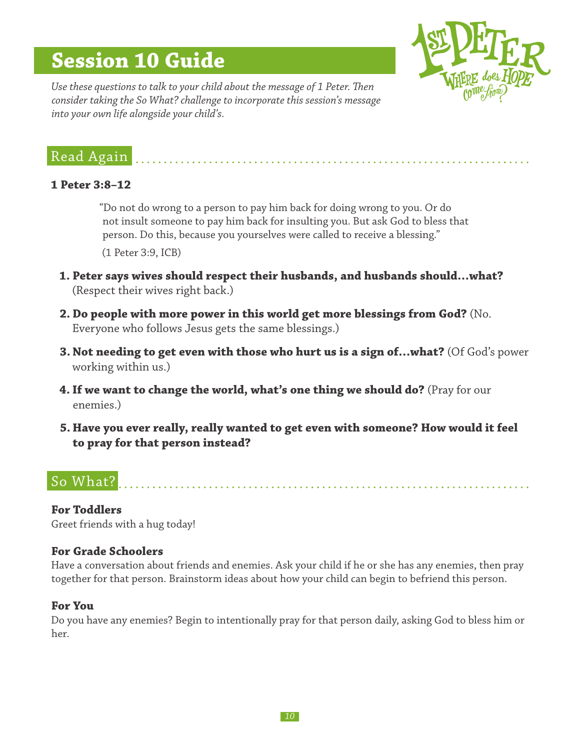# **Session 10 Guide**



*Use these questions to talk to your child about the message of 1 Peter. Then consider taking the So What? challenge to incorporate this session's message into your own life alongside your child's.*

# Read Again

### **1 Peter 3:8–12**

"Do not do wrong to a person to pay him back for doing wrong to you. Or do not insult someone to pay him back for insulting you. But ask God to bless that person. Do this, because you yourselves were called to receive a blessing." (1 Peter 3:9, ICB)

- **1. Peter says wives should respect their husbands, and husbands should…what?**  (Respect their wives right back.)
- **2. Do people with more power in this world get more blessings from God?** (No. Everyone who follows Jesus gets the same blessings.)
- **3. Not needing to get even with those who hurt us is a sign of…what?** (Of God's power working within us.)
- **4. If we want to change the world, what's one thing we should do?** (Pray for our enemies.)
- **5. Have you ever really, really wanted to get even with someone? How would it feel to pray for that person instead?**

# So What?

**For Toddlers** Greet friends with a hug today!

## **For Grade Schoolers**

Have a conversation about friends and enemies. Ask your child if he or she has any enemies, then pray together for that person. Brainstorm ideas about how your child can begin to befriend this person.

## **For You**

Do you have any enemies? Begin to intentionally pray for that person daily, asking God to bless him or her.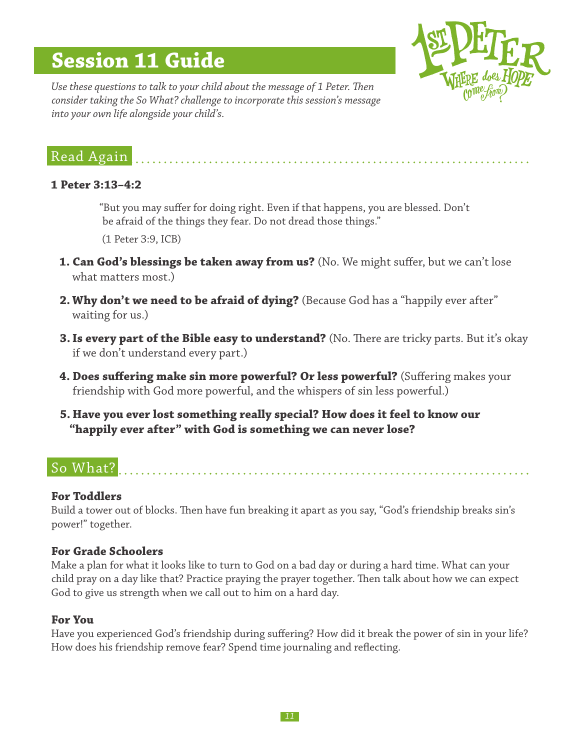# **Session 11 Guide**



*Use these questions to talk to your child about the message of 1 Peter. Then consider taking the So What? challenge to incorporate this session's message into your own life alongside your child's.*

# Read Again

## **1 Peter 3:13–4:2**

"But you may suffer for doing right. Even if that happens, you are blessed. Don't be afraid of the things they fear. Do not dread those things."

(1 Peter 3:9, ICB)

- **1. Can God's blessings be taken away from us?** (No. We might suffer, but we can't lose what matters most.)
- **2. Why don't we need to be afraid of dying?** (Because God has a "happily ever after" waiting for us.)
- **3. Is every part of the Bible easy to understand?** (No. There are tricky parts. But it's okay if we don't understand every part.)
- **4. Does suffering make sin more powerful? Or less powerful?** (Suffering makes your friendship with God more powerful, and the whispers of sin less powerful.)
- **5. Have you ever lost something really special? How does it feel to know our "happily ever after" with God is something we can never lose?**

# So What?

# **For Toddlers**

Build a tower out of blocks. Then have fun breaking it apart as you say, "God's friendship breaks sin's power!" together.

## **For Grade Schoolers**

Make a plan for what it looks like to turn to God on a bad day or during a hard time. What can your child pray on a day like that? Practice praying the prayer together. Then talk about how we can expect God to give us strength when we call out to him on a hard day.

# **For You**

Have you experienced God's friendship during suffering? How did it break the power of sin in your life? How does his friendship remove fear? Spend time journaling and reflecting.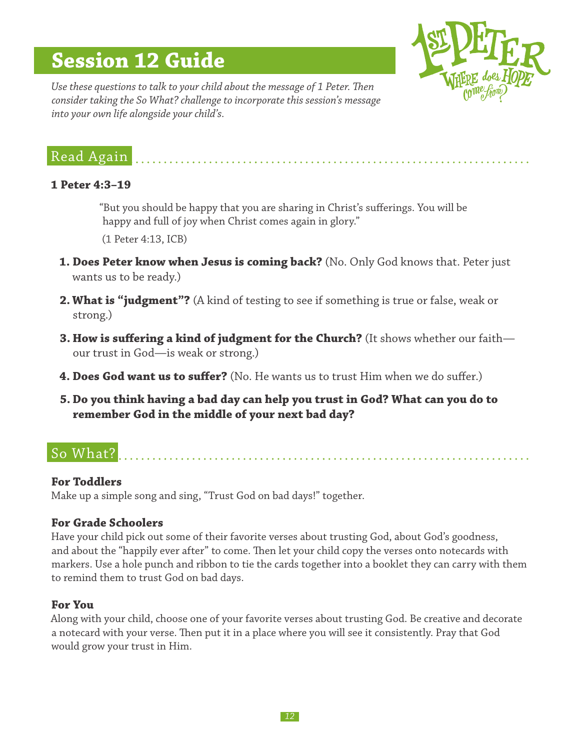# **Session 12 Guide**



*Use these questions to talk to your child about the message of 1 Peter. Then consider taking the So What? challenge to incorporate this session's message into your own life alongside your child's.*

# Read Again

## **1 Peter 4:3–19**

"But you should be happy that you are sharing in Christ's sufferings. You will be happy and full of joy when Christ comes again in glory."

(1 Peter 4:13, ICB)

- **1. Does Peter know when Jesus is coming back?** (No. Only God knows that. Peter just wants us to be ready.)
- **2. What is "judgment"?** (A kind of testing to see if something is true or false, weak or strong.)
- **3. How is suffering a kind of judgment for the Church?** (It shows whether our faith our trust in God—is weak or strong.)
- **4. Does God want us to suffer?** (No. He wants us to trust Him when we do suffer.)
- **5. Do you think having a bad day can help you trust in God? What can you do to remember God in the middle of your next bad day?**

# So What?

## **For Toddlers**

Make up a simple song and sing, "Trust God on bad days!" together.

## **For Grade Schoolers**

Have your child pick out some of their favorite verses about trusting God, about God's goodness, and about the "happily ever after" to come. Then let your child copy the verses onto notecards with markers. Use a hole punch and ribbon to tie the cards together into a booklet they can carry with them to remind them to trust God on bad days.

## **For You**

Along with your child, choose one of your favorite verses about trusting God. Be creative and decorate a notecard with your verse. Then put it in a place where you will see it consistently. Pray that God would grow your trust in Him.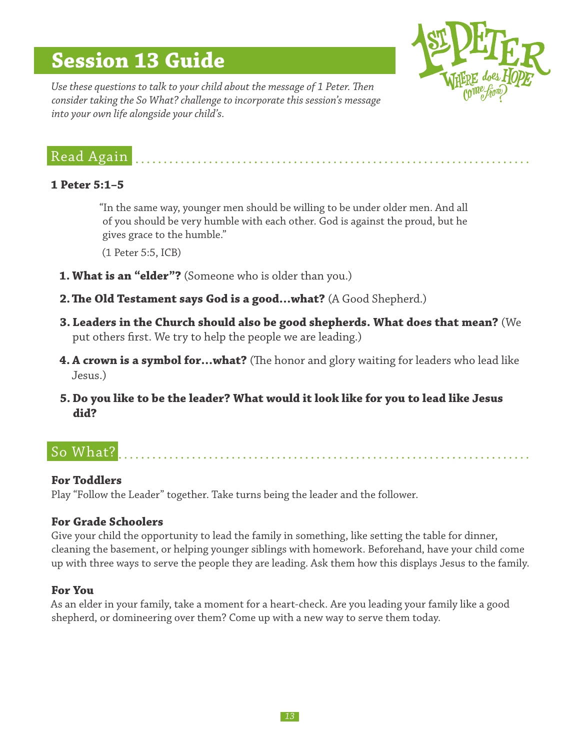# **Session 13 Guide**



*Use these questions to talk to your child about the message of 1 Peter. Then consider taking the So What? challenge to incorporate this session's message into your own life alongside your child's.*

# Read Again

## **1 Peter 5:1–5**

"In the same way, younger men should be willing to be under older men. And all of you should be very humble with each other. God is against the proud, but he gives grace to the humble."

(1 Peter 5:5, ICB)

- **1. What is an "elder"?** (Someone who is older than you.)
- **2.The Old Testament says God is a good…what?** (A Good Shepherd.)
- **3. Leaders in the Church should also be good shepherds. What does that mean?** (We put others first. We try to help the people we are leading.)
- **4. A crown is a symbol for…what?** (The honor and glory waiting for leaders who lead like Jesus.)
- **5. Do you like to be the leader? What would it look like for you to lead like Jesus did?**

# So What?

# **For Toddlers**

Play "Follow the Leader" together. Take turns being the leader and the follower.

## **For Grade Schoolers**

Give your child the opportunity to lead the family in something, like setting the table for dinner, cleaning the basement, or helping younger siblings with homework. Beforehand, have your child come up with three ways to serve the people they are leading. Ask them how this displays Jesus to the family.

## **For You**

As an elder in your family, take a moment for a heart-check. Are you leading your family like a good shepherd, or domineering over them? Come up with a new way to serve them today.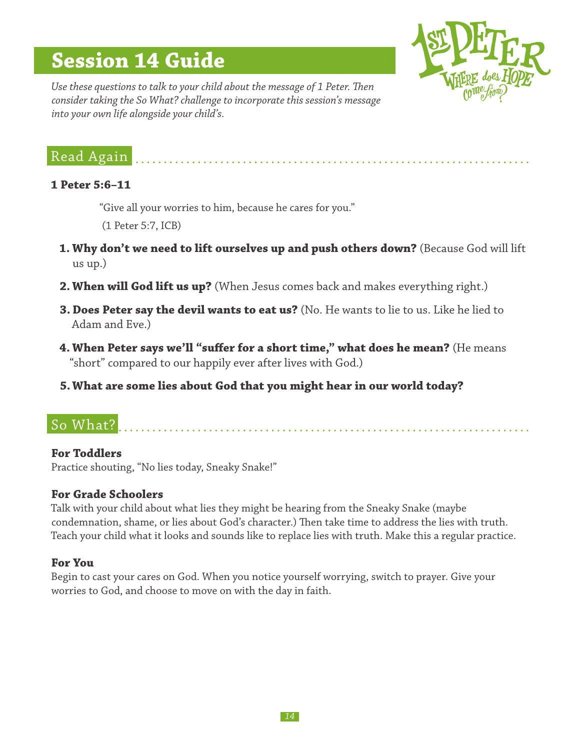# **Session 14 Guide**



*Use these questions to talk to your child about the message of 1 Peter. Then consider taking the So What? challenge to incorporate this session's message into your own life alongside your child's.*

# Read Again

## **1 Peter 5:6–11**

"Give all your worries to him, because he cares for you."

(1 Peter 5:7, ICB)

1. Why don't we need to lift ourselves up and push others down? (Because God will lift us up.)

- **2. When will God lift us up?** (When Jesus comes back and makes everything right.)
- **3. Does Peter say the devil wants to eat us?** (No. He wants to lie to us. Like he lied to Adam and Eve.)
- **4. When Peter says we'll "suffer for a short time," what does he mean?** (He means "short" compared to our happily ever after lives with God.)

**5.What are some lies about God that you might hear in our world today?**

# So What?

## **For Toddlers**

Practice shouting, "No lies today, Sneaky Snake!"

# **For Grade Schoolers**

Talk with your child about what lies they might be hearing from the Sneaky Snake (maybe condemnation, shame, or lies about God's character.) Then take time to address the lies with truth. Teach your child what it looks and sounds like to replace lies with truth. Make this a regular practice.

## **For You**

Begin to cast your cares on God. When you notice yourself worrying, switch to prayer. Give your worries to God, and choose to move on with the day in faith.